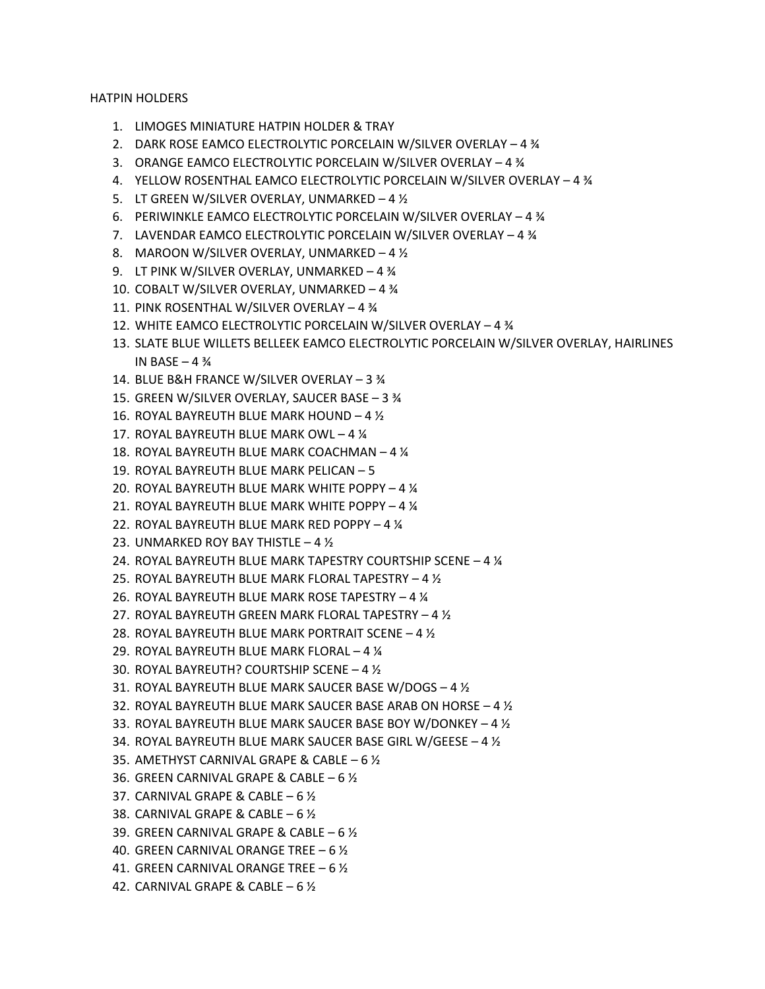HATPIN HOLDERS

- 1. LIMOGES MINIATURE HATPIN HOLDER & TRAY
- 2. DARK ROSE EAMCO ELECTROLYTIC PORCELAIN W/SILVER OVERLAY 4 ¾
- 3. ORANGE EAMCO ELECTROLYTIC PORCELAIN W/SILVER OVERLAY 4 ¾
- 4. YELLOW ROSENTHAL EAMCO ELECTROLYTIC PORCELAIN W/SILVER OVERLAY 4 ¾
- 5. LT GREEN W/SILVER OVERLAY, UNMARKED 4 ½
- 6. PERIWINKLE EAMCO ELECTROLYTIC PORCELAIN W/SILVER OVERLAY 4 ¾
- 7. LAVENDAR EAMCO ELECTROLYTIC PORCELAIN W/SILVER OVERLAY 4 ¾
- 8. MAROON W/SILVER OVERLAY, UNMARKED 4 ½
- 9. LT PINK W/SILVER OVERLAY, UNMARKED 4 ¾
- 10. COBALT W/SILVER OVERLAY, UNMARKED 4 ¾
- 11. PINK ROSENTHAL W/SILVER OVERLAY 4 ¾
- 12. WHITE EAMCO ELECTROLYTIC PORCELAIN W/SILVER OVERLAY 4 ¾
- 13. SLATE BLUE WILLETS BELLEEK EAMCO ELECTROLYTIC PORCELAIN W/SILVER OVERLAY, HAIRLINES IN BASE  $-4\frac{3}{4}$
- 14. BLUE B&H FRANCE W/SILVER OVERLAY 3 ¾
- 15. GREEN W/SILVER OVERLAY, SAUCER BASE 3 ¾
- 16. ROYAL BAYREUTH BLUE MARK HOUND 4 ½
- 17. ROYAL BAYREUTH BLUE MARK OWL 4 ¼
- 18. ROYAL BAYREUTH BLUE MARK COACHMAN 4 ¼
- 19. ROYAL BAYREUTH BLUE MARK PELICAN 5
- 20. ROYAL BAYREUTH BLUE MARK WHITE POPPY 4 ¼
- 21. ROYAL BAYREUTH BLUE MARK WHITE POPPY 4 ¼
- 22. ROYAL BAYREUTH BLUE MARK RED POPPY 4 ¼
- 23. UNMARKED ROY BAY THISTLE 4 ½
- 24. ROYAL BAYREUTH BLUE MARK TAPESTRY COURTSHIP SCENE 4 ¼
- 25. ROYAL BAYREUTH BLUE MARK FLORAL TAPESTRY 4 ½
- 26. ROYAL BAYREUTH BLUE MARK ROSE TAPESTRY 4 ¼
- 27. ROYAL BAYREUTH GREEN MARK FLORAL TAPESTRY 4 ½
- 28. ROYAL BAYREUTH BLUE MARK PORTRAIT SCENE 4 ½
- 29. ROYAL BAYREUTH BLUE MARK FLORAL 4 ¼
- 30. ROYAL BAYREUTH? COURTSHIP SCENE 4 ½
- 31. ROYAL BAYREUTH BLUE MARK SAUCER BASE W/DOGS 4 ½
- 32. ROYAL BAYREUTH BLUE MARK SAUCER BASE ARAB ON HORSE 4 ½
- 33. ROYAL BAYREUTH BLUE MARK SAUCER BASE BOY W/DONKEY 4 ½
- 34. ROYAL BAYREUTH BLUE MARK SAUCER BASE GIRL W/GEESE 4 ½
- 35. AMETHYST CARNIVAL GRAPE & CABLE 6 ½
- 36. GREEN CARNIVAL GRAPE & CABLE 6 ½
- 37. CARNIVAL GRAPE & CABLE 6 ½
- 38. CARNIVAL GRAPE & CABLE 6 ½
- 39. GREEN CARNIVAL GRAPE & CABLE 6 ½
- 40. GREEN CARNIVAL ORANGE TREE 6 ½
- 41. GREEN CARNIVAL ORANGE TREE 6 ½
- 42. CARNIVAL GRAPE & CABLE 6 ½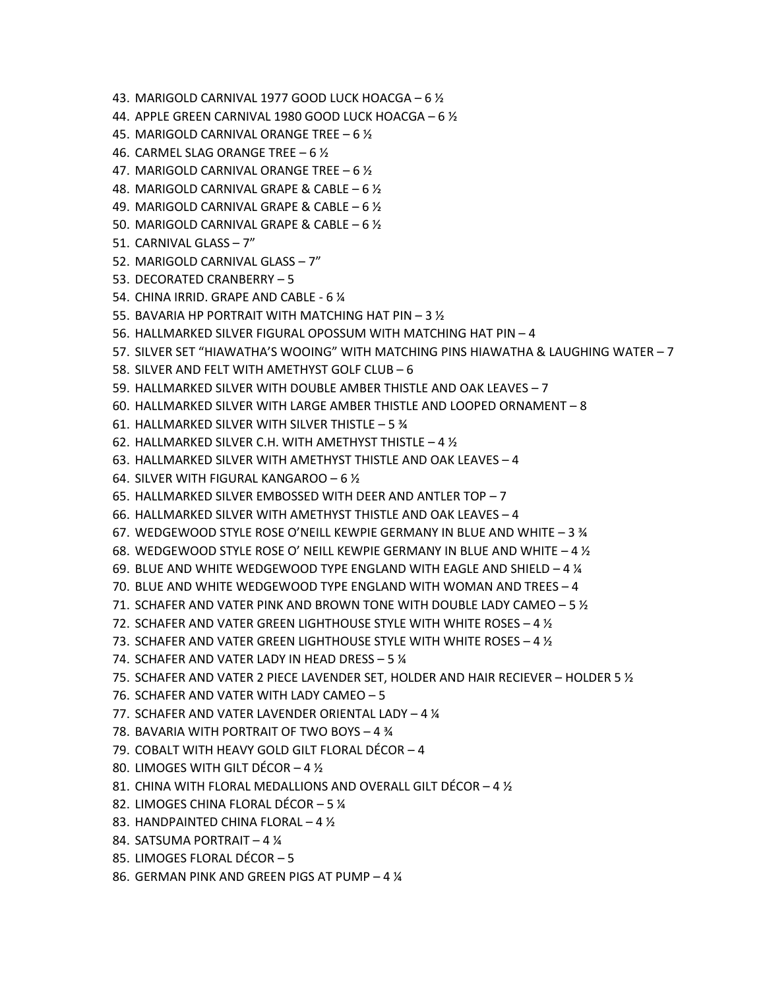- 43. MARIGOLD CARNIVAL 1977 GOOD LUCK HOACGA 6 ½
- 44. APPLE GREEN CARNIVAL 1980 GOOD LUCK HOACGA 6 ½
- 45. MARIGOLD CARNIVAL ORANGE TREE 6 ½
- 46. CARMEL SLAG ORANGE TREE 6 ½
- 47. MARIGOLD CARNIVAL ORANGE TREE 6 ½
- 48. MARIGOLD CARNIVAL GRAPE & CABLE 6 ½
- 49. MARIGOLD CARNIVAL GRAPE & CABLE 6 ½
- 50. MARIGOLD CARNIVAL GRAPE & CABLE 6 ½
- 51. CARNIVAL GLASS 7"
- 52. MARIGOLD CARNIVAL GLASS 7"
- 53. DECORATED CRANBERRY 5
- 54. CHINA IRRID. GRAPE AND CABLE 6 ¼
- 55. BAVARIA HP PORTRAIT WITH MATCHING HAT PIN 3 ½
- 56. HALLMARKED SILVER FIGURAL OPOSSUM WITH MATCHING HAT PIN 4
- 57. SILVER SET "HIAWATHA'S WOOING" WITH MATCHING PINS HIAWATHA & LAUGHING WATER 7
- 58. SILVER AND FELT WITH AMETHYST GOLF CLUB 6
- 59. HALLMARKED SILVER WITH DOUBLE AMBER THISTLE AND OAK LEAVES 7
- 60. HALLMARKED SILVER WITH LARGE AMBER THISTLE AND LOOPED ORNAMENT 8
- 61. HALLMARKED SILVER WITH SILVER THISTLE 5 ¾
- 62. HALLMARKED SILVER C.H. WITH AMETHYST THISTLE  $-4\frac{1}{2}$
- 63. HALLMARKED SILVER WITH AMETHYST THISTLE AND OAK LEAVES 4
- 64. SILVER WITH FIGURAL KANGAROO 6 ½
- 65. HALLMARKED SILVER EMBOSSED WITH DEER AND ANTLER TOP 7
- 66. HALLMARKED SILVER WITH AMETHYST THISTLE AND OAK LEAVES 4
- 67. WEDGEWOOD STYLE ROSE O'NEILL KEWPIE GERMANY IN BLUE AND WHITE 3 ¾
- 68. WEDGEWOOD STYLE ROSE O' NEILL KEWPIE GERMANY IN BLUE AND WHITE 4 ½
- 69. BLUE AND WHITE WEDGEWOOD TYPE ENGLAND WITH EAGLE AND SHIELD 4 ¼
- 70. BLUE AND WHITE WEDGEWOOD TYPE ENGLAND WITH WOMAN AND TREES 4
- 71. SCHAFER AND VATER PINK AND BROWN TONE WITH DOUBLE LADY CAMEO 5  $\frac{1}{2}$
- 72. SCHAFER AND VATER GREEN LIGHTHOUSE STYLE WITH WHITE ROSES 4 ½
- 73. SCHAFER AND VATER GREEN LIGHTHOUSE STYLE WITH WHITE ROSES  $-4\frac{1}{2}$
- 74. SCHAFER AND VATER LADY IN HEAD DRESS 5 ¼
- 75. SCHAFER AND VATER 2 PIECE LAVENDER SET, HOLDER AND HAIR RECIEVER HOLDER 5 ½
- 76. SCHAFER AND VATER WITH LADY CAMEO 5
- 77. SCHAFER AND VATER LAVENDER ORIENTAL LADY 4 ¼
- 78. BAVARIA WITH PORTRAIT OF TWO BOYS 4 ¾
- 79. COBALT WITH HEAVY GOLD GILT FLORAL DÉCOR 4
- 80. LIMOGES WITH GILT DÉCOR 4 ½
- 81. CHINA WITH FLORAL MEDALLIONS AND OVERALL GILT DÉCOR 4 ½
- 82. LIMOGES CHINA FLORAL DÉCOR 5 ¼
- 83. HANDPAINTED CHINA FLORAL 4 ½
- 84. SATSUMA PORTRAIT 4 ¼
- 85. LIMOGES FLORAL DÉCOR 5
- 86. GERMAN PINK AND GREEN PIGS AT PUMP 4 ¼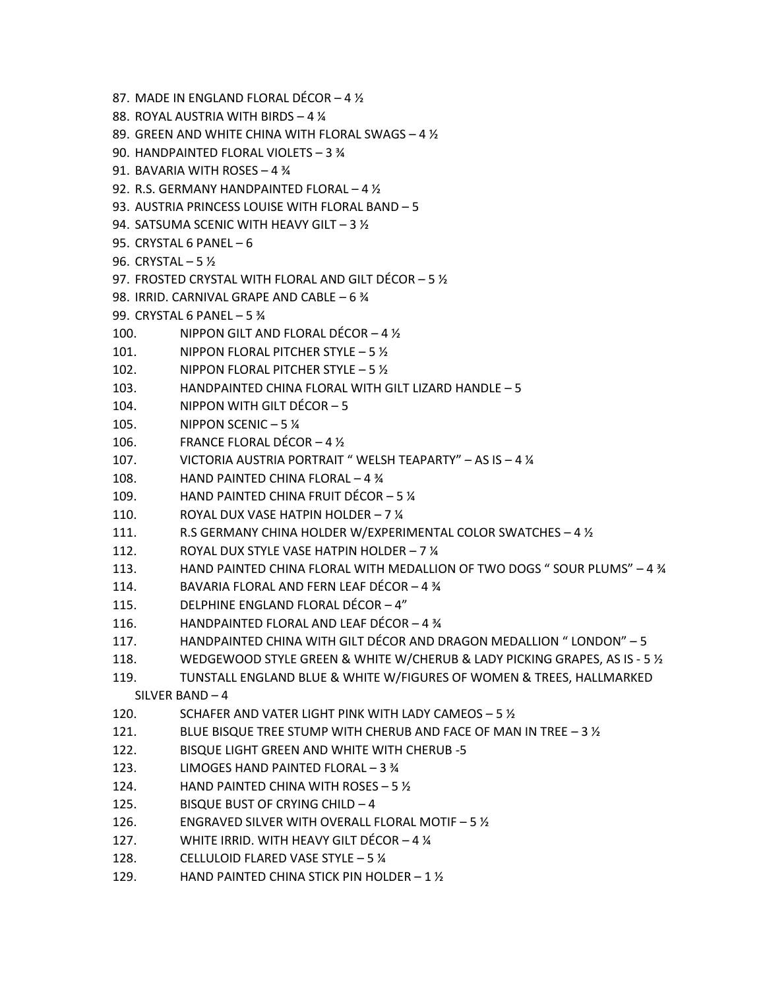| 87. MADE IN ENGLAND FLORAL DÉCOR - 4 1/2                                            |
|-------------------------------------------------------------------------------------|
| 88. ROYAL AUSTRIA WITH BIRDS - 4 1/4                                                |
| 89. GREEN AND WHITE CHINA WITH FLORAL SWAGS - 4 1/2                                 |
| 90. HANDPAINTED FLORAL VIOLETS - 3 34                                               |
| 91. BAVARIA WITH ROSES - 4 %                                                        |
| 92. R.S. GERMANY HANDPAINTED FLORAL - 4 1/2                                         |
| 93. AUSTRIA PRINCESS LOUISE WITH FLORAL BAND - 5                                    |
| 94. SATSUMA SCENIC WITH HEAVY GILT - 3 1/2                                          |
| 95. CRYSTAL 6 PANEL $-6$                                                            |
| 96. CRYSTAL - 5 1/2                                                                 |
| 97. FROSTED CRYSTAL WITH FLORAL AND GILT DÉCOR - 5 1/2                              |
| 98. IRRID. CARNIVAL GRAPE AND CABLE - 6 %                                           |
| 99. CRYSTAL 6 PANEL - 5 %                                                           |
| NIPPON GILT AND FLORAL DÉCOR - 4 1/2<br>100.                                        |
| 101.<br>NIPPON FLORAL PITCHER STYLE $-5\%$                                          |
| 102.<br>NIPPON FLORAL PITCHER STYLE $-5\frac{1}{2}$                                 |
| 103.<br>HANDPAINTED CHINA FLORAL WITH GILT LIZARD HANDLE - 5                        |
| NIPPON WITH GILT DÉCOR $-5$<br>104.                                                 |
| NIPPON SCENIC $-5\frac{1}{4}$<br>105.                                               |
| <b>FRANCE FLORAL DÉCOR - 4 <math>\frac{1}{2}</math></b><br>106.                     |
| 107.<br>VICTORIA AUSTRIA PORTRAIT "WELSH TEAPARTY" - AS IS - 4 %                    |
| 108.<br>HAND PAINTED CHINA FLORAL $-4\frac{3}{4}$                                   |
| HAND PAINTED CHINA FRUIT DÉCOR - 5 $\frac{1}{4}$<br>109.                            |
| ROYAL DUX VASE HATPIN HOLDER - 7 1/4<br>110.                                        |
| R.S GERMANY CHINA HOLDER W/EXPERIMENTAL COLOR SWATCHES - 4 1/2<br>111.              |
| 112.<br>ROYAL DUX STYLE VASE HATPIN HOLDER - 7 %                                    |
| HAND PAINTED CHINA FLORAL WITH MEDALLION OF TWO DOGS " SOUR PLUMS" - 4 3/4<br>113.  |
| BAVARIA FLORAL AND FERN LEAF DÉCOR - 4 %<br>114.                                    |
| DELPHINE ENGLAND FLORAL DÉCOR - 4"<br>115.                                          |
| HANDPAINTED FLORAL AND LEAF DÉCOR $-4\frac{3}{4}$<br>116.                           |
| HANDPAINTED CHINA WITH GILT DÉCOR AND DRAGON MEDALLION " LONDON" - 5<br>117.        |
| WEDGEWOOD STYLE GREEN & WHITE W/CHERUB & LADY PICKING GRAPES, AS IS - 5 1/2<br>118. |
| 119.<br>TUNSTALL ENGLAND BLUE & WHITE W/FIGURES OF WOMEN & TREES, HALLMARKED        |
| SILVER BAND - 4                                                                     |
| 120.<br>SCHAFER AND VATER LIGHT PINK WITH LADY CAMEOS $-5\frac{1}{2}$               |
| 121.<br>BLUE BISQUE TREE STUMP WITH CHERUB AND FACE OF MAN IN TREE - 3 1/2          |
| 122.<br><b>BISQUE LIGHT GREEN AND WHITE WITH CHERUB -5</b>                          |
| 123.<br>LIMOGES HAND PAINTED FLORAL - 3 %                                           |
| 124.<br>HAND PAINTED CHINA WITH ROSES - 5 $\frac{1}{2}$                             |
| <b>BISQUE BUST OF CRYING CHILD - 4</b><br>125.                                      |
| ENGRAVED SILVER WITH OVERALL FLORAL MOTIF - 5 $\frac{1}{2}$<br>126.                 |
| WHITE IRRID. WITH HEAVY GILT DÉCOR - 4 1/4<br>127.                                  |
|                                                                                     |

- 128. CELLULOID FLARED VASE STYLE 5 ¼
- 129. HAND PAINTED CHINA STICK PIN HOLDER 1 ½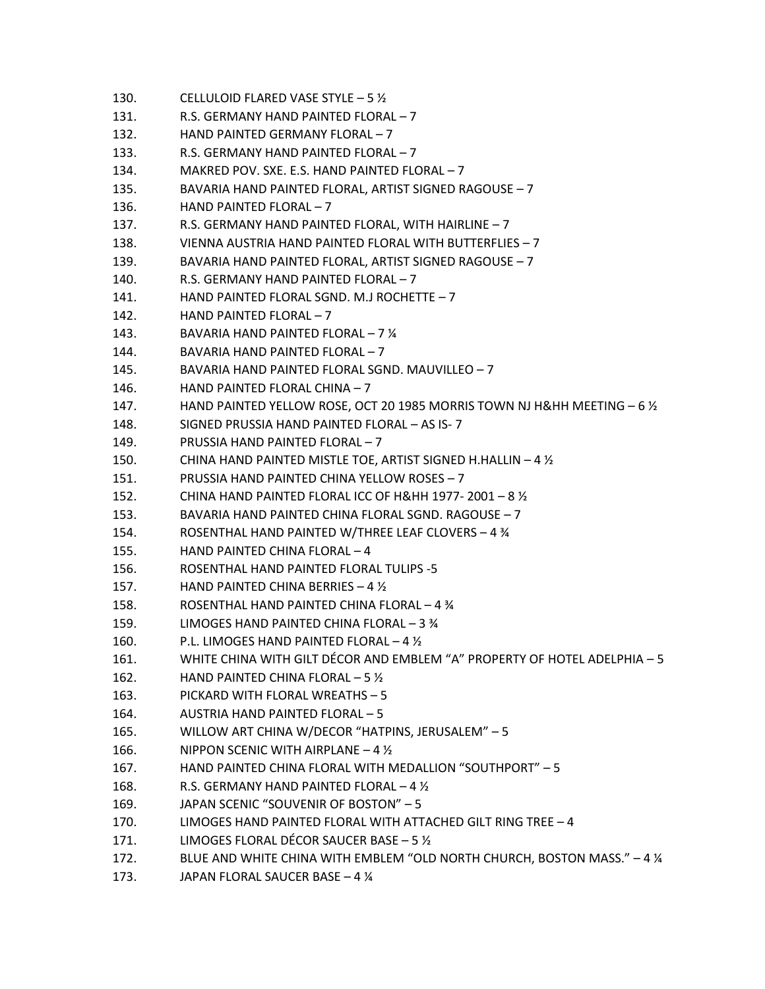- 130. CELLULOID FLARED VASE STYLE 5 ½
- 131. R.S. GERMANY HAND PAINTED FLORAL 7
- 132. HAND PAINTED GERMANY FLORAL 7
- 133. R.S. GERMANY HAND PAINTED FLORAL 7
- 134. MAKRED POV. SXE. E.S. HAND PAINTED FLORAL 7
- 135. BAVARIA HAND PAINTED FLORAL, ARTIST SIGNED RAGOUSE 7
- 136. HAND PAINTED FLORAL 7
- 137. R.S. GERMANY HAND PAINTED FLORAL, WITH HAIRLINE 7
- 138. VIENNA AUSTRIA HAND PAINTED FLORAL WITH BUTTERFLIES 7
- 139. BAVARIA HAND PAINTED FLORAL, ARTIST SIGNED RAGOUSE 7
- 140. R.S. GERMANY HAND PAINTED FLORAL 7
- 141. HAND PAINTED FLORAL SGND. M.J ROCHETTE 7
- 142. HAND PAINTED FLORAL 7
- 143. BAVARIA HAND PAINTED FLORAL 7 ¼
- 144. BAVARIA HAND PAINTED FLORAL 7
- 145. BAVARIA HAND PAINTED FLORAL SGND. MAUVILLEO 7
- 146. HAND PAINTED FLORAL CHINA 7
- 147. HAND PAINTED YELLOW ROSE, OCT 20 1985 MORRIS TOWN NJ H&HH MEETING 6 ½
- 148. SIGNED PRUSSIA HAND PAINTED FLORAL AS IS- 7
- 149. PRUSSIA HAND PAINTED FLORAL 7
- 150. CHINA HAND PAINTED MISTLE TOE, ARTIST SIGNED H.HALLIN 4 ½
- 151. PRUSSIA HAND PAINTED CHINA YELLOW ROSES 7
- 152. CHINA HAND PAINTED FLORAL ICC OF H&HH 1977- 2001 8 ½
- 153. BAVARIA HAND PAINTED CHINA FLORAL SGND. RAGOUSE 7
- 154. ROSENTHAL HAND PAINTED W/THREE LEAF CLOVERS 4 ¾
- 155. HAND PAINTED CHINA FLORAL 4
- 156. ROSENTHAL HAND PAINTED FLORAL TULIPS -5
- 157. HAND PAINTED CHINA BERRIES 4 ½
- 158. ROSENTHAL HAND PAINTED CHINA FLORAL 4 ¾
- 159. LIMOGES HAND PAINTED CHINA FLORAL 3 ¾
- 160. P.L. LIMOGES HAND PAINTED FLORAL 4 ½
- 161. WHITE CHINA WITH GILT DÉCOR AND EMBLEM "A" PROPERTY OF HOTEL ADELPHIA 5
- 162. HAND PAINTED CHINA FLORAL 5 ½
- 163. PICKARD WITH FLORAL WREATHS 5
- 164. AUSTRIA HAND PAINTED FLORAL 5
- 165. WILLOW ART CHINA W/DECOR "HATPINS, JERUSALEM" 5
- 166. NIPPON SCENIC WITH AIRPLANE 4 ½
- 167. HAND PAINTED CHINA FLORAL WITH MEDALLION "SOUTHPORT" 5
- 168. R.S. GERMANY HAND PAINTED FLORAL 4 ½
- 169. JAPAN SCENIC "SOUVENIR OF BOSTON" 5
- 170. LIMOGES HAND PAINTED FLORAL WITH ATTACHED GILT RING TREE 4
- 171. LIMOGES FLORAL DÉCOR SAUCER BASE 5 ½
- 172. BLUE AND WHITE CHINA WITH EMBLEM "OLD NORTH CHURCH, BOSTON MASS." 4 ¼
- 173. JAPAN FLORAL SAUCER BASE 4 ¼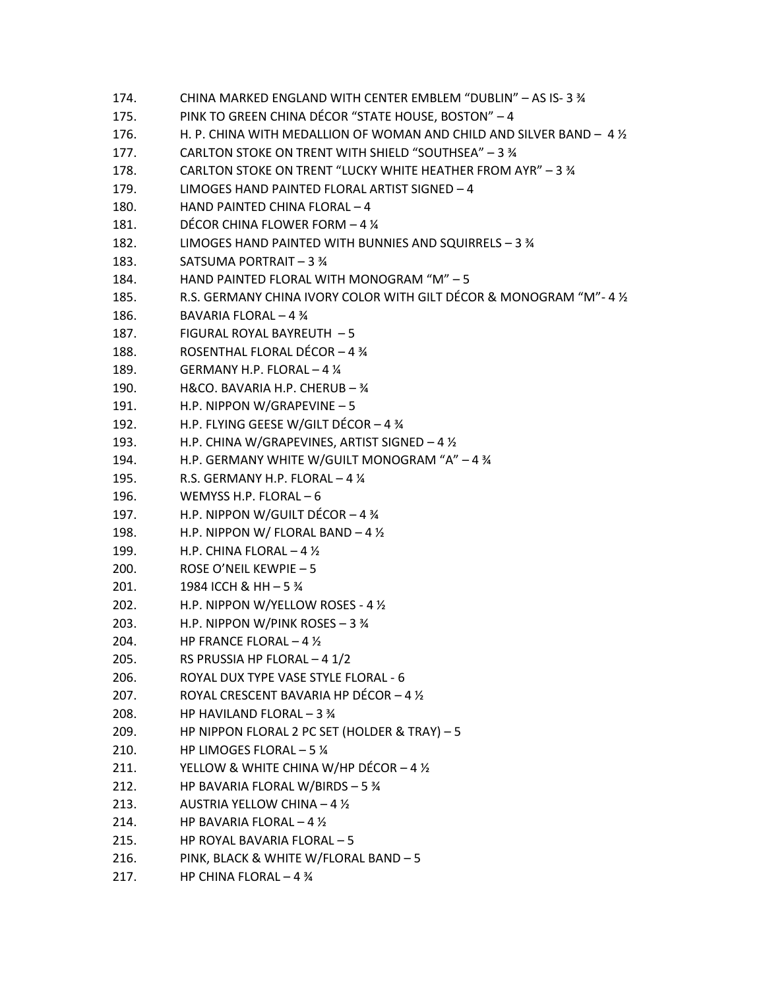| CHINA MARKED ENGLAND WITH CENTER EMBLEM "DUBLIN" - AS IS- 3 34                  |
|---------------------------------------------------------------------------------|
| PINK TO GREEN CHINA DÉCOR "STATE HOUSE, BOSTON" - 4                             |
| H. P. CHINA WITH MEDALLION OF WOMAN AND CHILD AND SILVER BAND - 4 $\frac{1}{2}$ |
| CARLTON STOKE ON TRENT WITH SHIELD "SOUTHSEA" - 3 %                             |
| CARLTON STOKE ON TRENT "LUCKY WHITE HEATHER FROM AYR" - 3 %                     |
| LIMOGES HAND PAINTED FLORAL ARTIST SIGNED - 4                                   |
| HAND PAINTED CHINA FLORAL - 4                                                   |
| DÉCOR CHINA FLOWER FORM $-4\frac{1}{4}$                                         |
| LIMOGES HAND PAINTED WITH BUNNIES AND SQUIRRELS - 3 %                           |
| SATSUMA PORTRAIT - 3 %                                                          |
| HAND PAINTED FLORAL WITH MONOGRAM "M" - 5                                       |
| R.S. GERMANY CHINA IVORY COLOR WITH GILT DÉCOR & MONOGRAM "M"- 4 1/2            |
| BAVARIA FLORAL - 4 %                                                            |
| FIGURAL ROYAL BAYREUTH - 5                                                      |
| ROSENTHAL FLORAL DÉCOR - 4 %                                                    |
| GERMANY H.P. FLORAL - 4 1/4                                                     |
| H&CO. BAVARIA H.P. CHERUB - 1/4                                                 |
| H.P. NIPPON W/GRAPEVINE $-5$                                                    |
| H.P. FLYING GEESE W/GILT DÉCOR - 4 $\frac{3}{4}$                                |
| H.P. CHINA W/GRAPEVINES, ARTIST SIGNED - 4 $\frac{1}{2}$                        |
| H.P. GERMANY WHITE W/GUILT MONOGRAM "A" - 4 34                                  |
| R.S. GERMANY H.P. FLORAL $-4\%$                                                 |
| WEMYSS H.P. FLORAL $-6$                                                         |
| H.P. NIPPON W/GUILT DÉCOR - 4 $\frac{3}{4}$                                     |
| H.P. NIPPON W/ FLORAL BAND - 4 $\frac{1}{2}$                                    |
| H.P. CHINA FLORAL - 4 $\frac{1}{2}$                                             |
| ROSE O'NEIL KEWPIE - 5                                                          |
| 1984 ICCH & HH - 5 %                                                            |
| H.P. NIPPON W/YELLOW ROSES - 4 1/2                                              |
| H.P. NIPPON W/PINK ROSES - 3 $\frac{3}{4}$                                      |
| HP FRANCE FLORAL $-4$ $\frac{1}{2}$                                             |
| RS PRUSSIA HP FLORAL - 4 1/2                                                    |
| ROYAL DUX TYPE VASE STYLE FLORAL - 6                                            |
| ROYAL CRESCENT BAVARIA HP DÉCOR - 4 1/2                                         |
| HP HAVILAND FLORAL $-$ 3 $\frac{3}{4}$                                          |
| HP NIPPON FLORAL 2 PC SET (HOLDER & TRAY) - 5                                   |
| HP LIMOGES FLORAL - 5 %                                                         |
| YELLOW & WHITE CHINA W/HP DÉCOR - 4 1/2                                         |
| HP BAVARIA FLORAL W/BIRDS - 5 %                                                 |
| AUSTRIA YELLOW CHINA - 4 $\frac{1}{2}$                                          |
| HP BAVARIA FLORAL - 4 $\frac{1}{2}$                                             |
| HP ROYAL BAVARIA FLORAL - 5                                                     |
| PINK, BLACK & WHITE W/FLORAL BAND - 5                                           |
| HP CHINA FLORAL - 4 3⁄4                                                         |
|                                                                                 |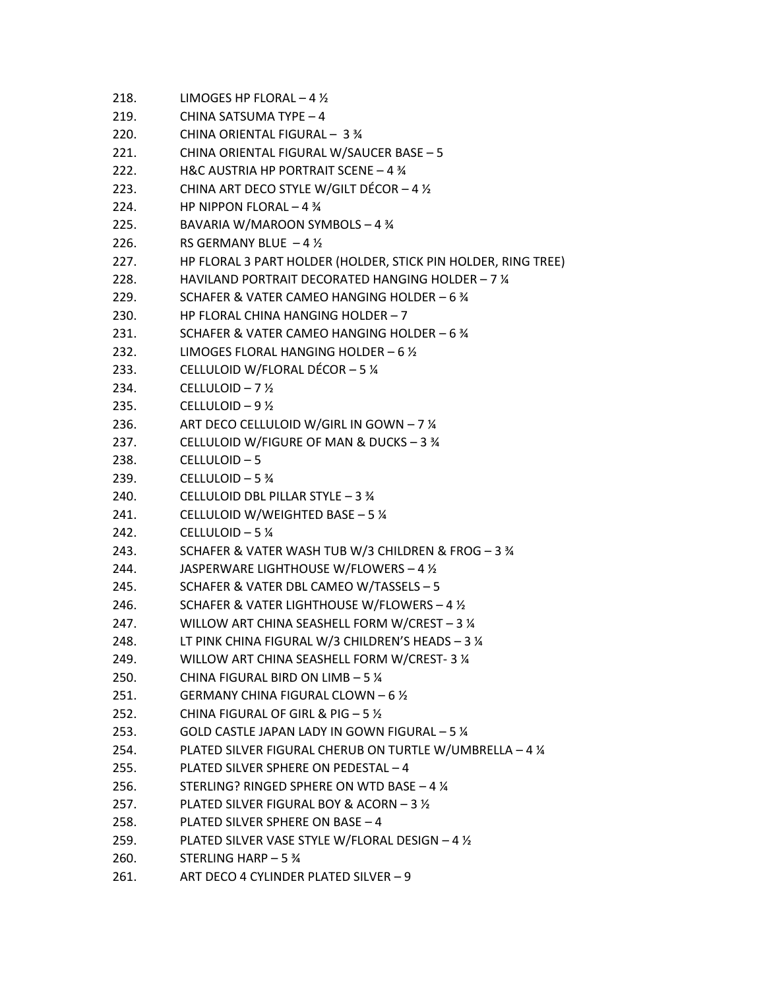| 218. | LIMOGES HP FLORAL - 4 $\frac{1}{2}$                           |
|------|---------------------------------------------------------------|
| 219. | CHINA SATSUMA TYPE - 4                                        |
| 220. | CHINA ORIENTAL FIGURAL - 3 %                                  |
| 221. | CHINA ORIENTAL FIGURAL W/SAUCER BASE - 5                      |
| 222. | H&C AUSTRIA HP PORTRAIT SCENE - 4 %                           |
| 223. | CHINA ART DECO STYLE W/GILT DÉCOR - 4 $\frac{1}{2}$           |
| 224. | HP NIPPON FLORAL $-4\frac{3}{4}$                              |
| 225. | BAVARIA W/MAROON SYMBOLS - 4 %                                |
| 226. | RS GERMANY BLUE $-4\frac{1}{2}$                               |
| 227. | HP FLORAL 3 PART HOLDER (HOLDER, STICK PIN HOLDER, RING TREE) |
| 228. | HAVILAND PORTRAIT DECORATED HANGING HOLDER - 7 %              |
| 229. | SCHAFER & VATER CAMEO HANGING HOLDER - 6 %                    |
| 230. | HP FLORAL CHINA HANGING HOLDER - 7                            |
| 231. | SCHAFER & VATER CAMEO HANGING HOLDER - 6 %                    |
| 232. | LIMOGES FLORAL HANGING HOLDER - 6 $\frac{1}{2}$               |
| 233. | CELLULOID W/FLORAL DÉCOR - 5 ¼                                |
| 234. | CELLULOID $-7\frac{1}{2}$                                     |
| 235. | CELLULOID - $9\frac{1}{2}$                                    |
| 236. | ART DECO CELLULOID W/GIRL IN GOWN - 7 1/4                     |
| 237. | CELLULOID W/FIGURE OF MAN & DUCKS - 3 34                      |
| 238. | CELLULOID-5                                                   |
| 239. | CELLULOID - 5 %                                               |
| 240. | CELLULOID DBL PILLAR STYLE $-3\frac{3}{4}$                    |
| 241. | CELLULOID W/WEIGHTED BASE - 5 %                               |
| 242. | CELLULOID $-5\%$                                              |
| 243. | SCHAFER & VATER WASH TUB W/3 CHILDREN & FROG - 3 %            |
| 244. | JASPERWARE LIGHTHOUSE W/FLOWERS - 4 1/2                       |
| 245. | SCHAFER & VATER DBL CAMEO W/TASSELS - 5                       |
| 246. | SCHAFER & VATER LIGHTHOUSE W/FLOWERS - 4 1/2                  |
| 247. | WILLOW ART CHINA SEASHELL FORM W/CREST - 3 1/4                |
| 248. | LT PINK CHINA FIGURAL W/3 CHILDREN'S HEADS - 3 1/4            |
| 249. | WILLOW ART CHINA SEASHELL FORM W/CREST- 3 1/4                 |
| 250. | CHINA FIGURAL BIRD ON LIMB - 5 1/4                            |
| 251. | GERMANY CHINA FIGURAL CLOWN - 6 $\frac{1}{2}$                 |
| 252. | CHINA FIGURAL OF GIRL & PIG - 5 1/2                           |
| 253. | GOLD CASTLE JAPAN LADY IN GOWN FIGURAL - 5 1/4                |
| 254. | PLATED SILVER FIGURAL CHERUB ON TURTLE W/UMBRELLA - 4 1/4     |
| 255. | PLATED SILVER SPHERE ON PEDESTAL - 4                          |
| 256. | STERLING? RINGED SPHERE ON WTD BASE - 4 %                     |
| 257. | PLATED SILVER FIGURAL BOY & ACORN - 3 1/2                     |
| 258. | PLATED SILVER SPHERE ON BASE - 4                              |
| 259. | PLATED SILVER VASE STYLE W/FLORAL DESIGN - 4 1/2              |
| 260. | STERLING HARP - 5 %                                           |
| 261. | ART DECO 4 CYLINDER PLATED SILVER - 9                         |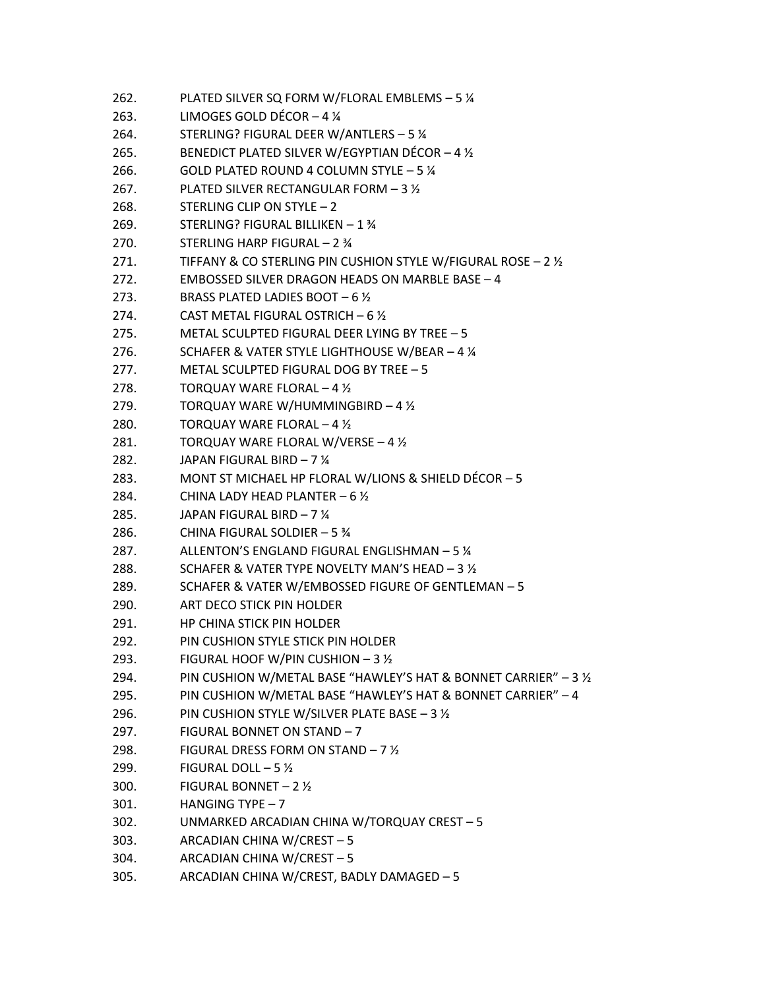| 262. | PLATED SILVER SQ FORM W/FLORAL EMBLEMS - 5 %                           |
|------|------------------------------------------------------------------------|
| 263. | LIMOGES GOLD DÉCOR $-4\frac{1}{4}$                                     |
| 264. | STERLING? FIGURAL DEER W/ANTLERS - 5 %                                 |
| 265. | BENEDICT PLATED SILVER W/EGYPTIAN DÉCOR - 4 $\frac{1}{2}$              |
| 266. | GOLD PLATED ROUND 4 COLUMN STYLE - 5 %                                 |
| 267. | PLATED SILVER RECTANGULAR FORM $-3\frac{1}{2}$                         |
| 268. | STERLING CLIP ON STYLE $-2$                                            |
| 269. | STERLING? FIGURAL BILLIKEN - 1 ¾                                       |
| 270. | STERLING HARP FIGURAL - 2 %                                            |
| 271. | TIFFANY & CO STERLING PIN CUSHION STYLE W/FIGURAL ROSE $-2\frac{1}{2}$ |
| 272. | EMBOSSED SILVER DRAGON HEADS ON MARBLE BASE - 4                        |
| 273. | BRASS PLATED LADIES BOOT $-6\frac{1}{2}$                               |
| 274. | CAST METAL FIGURAL OSTRICH - 6 1/2                                     |
| 275. | METAL SCULPTED FIGURAL DEER LYING BY TREE - 5                          |
|      | 276. SCHAFER & VATER STYLE LIGHTHOUSE W/BEAR - 4 1/4                   |
| 277. | METAL SCULPTED FIGURAL DOG BY TREE - 5                                 |
| 278. | TORQUAY WARE FLORAL - 4 1/2                                            |
| 279. | TORQUAY WARE W/HUMMINGBIRD - 4 1/2                                     |
| 280. | TORQUAY WARE FLORAL - 4 1/2                                            |
| 281. | TORQUAY WARE FLORAL W/VERSE - 4 1/2                                    |
| 282. | JAPAN FIGURAL BIRD - 7 $\frac{1}{4}$                                   |
| 283. | MONT ST MICHAEL HP FLORAL W/LIONS & SHIELD DÉCOR – 5                   |
| 284. | CHINA LADY HEAD PLANTER $-6\frac{1}{2}$                                |
| 285. | JAPAN FIGURAL BIRD - 7 1⁄4                                             |
|      | 286. CHINA FIGURAL SOLDIER - 5 3/4                                     |
| 287. | ALLENTON'S ENGLAND FIGURAL ENGLISHMAN – 5 ¼                            |
| 288. | SCHAFER & VATER TYPE NOVELTY MAN'S HEAD - 3 $\frac{1}{2}$              |
| 289. | SCHAFER & VATER W/EMBOSSED FIGURE OF GENTLEMAN - 5                     |
| 290. | ART DECO STICK PIN HOLDER                                              |
| 291. | HP CHINA STICK PIN HOLDER                                              |
| 292. | PIN CUSHION STYLE STICK PIN HOLDER                                     |
| 293. | FIGURAL HOOF W/PIN CUSHION - 3 $\frac{1}{2}$                           |
| 294. | PIN CUSHION W/METAL BASE "HAWLEY'S HAT & BONNET CARRIER" - 3 1/2       |
| 295. | PIN CUSHION W/METAL BASE "HAWLEY'S HAT & BONNET CARRIER" - 4           |
| 296. | PIN CUSHION STYLE W/SILVER PLATE BASE - 3 1/2                          |
| 297. | FIGURAL BONNET ON STAND - 7                                            |
| 298. | FIGURAL DRESS FORM ON STAND - 7 $\frac{1}{2}$                          |
| 299. | FIGURAL DOLL $-5\frac{1}{2}$                                           |
| 300. | FIGURAL BONNET - 2 1/2                                                 |
| 301. | HANGING TYPE - 7                                                       |
| 302. | UNMARKED ARCADIAN CHINA W/TORQUAY CREST - 5                            |
| 303. | ARCADIAN CHINA W/CREST - 5                                             |
| 304. | ARCADIAN CHINA W/CREST-5                                               |
| 305. | ARCADIAN CHINA W/CREST, BADLY DAMAGED - 5                              |
|      |                                                                        |